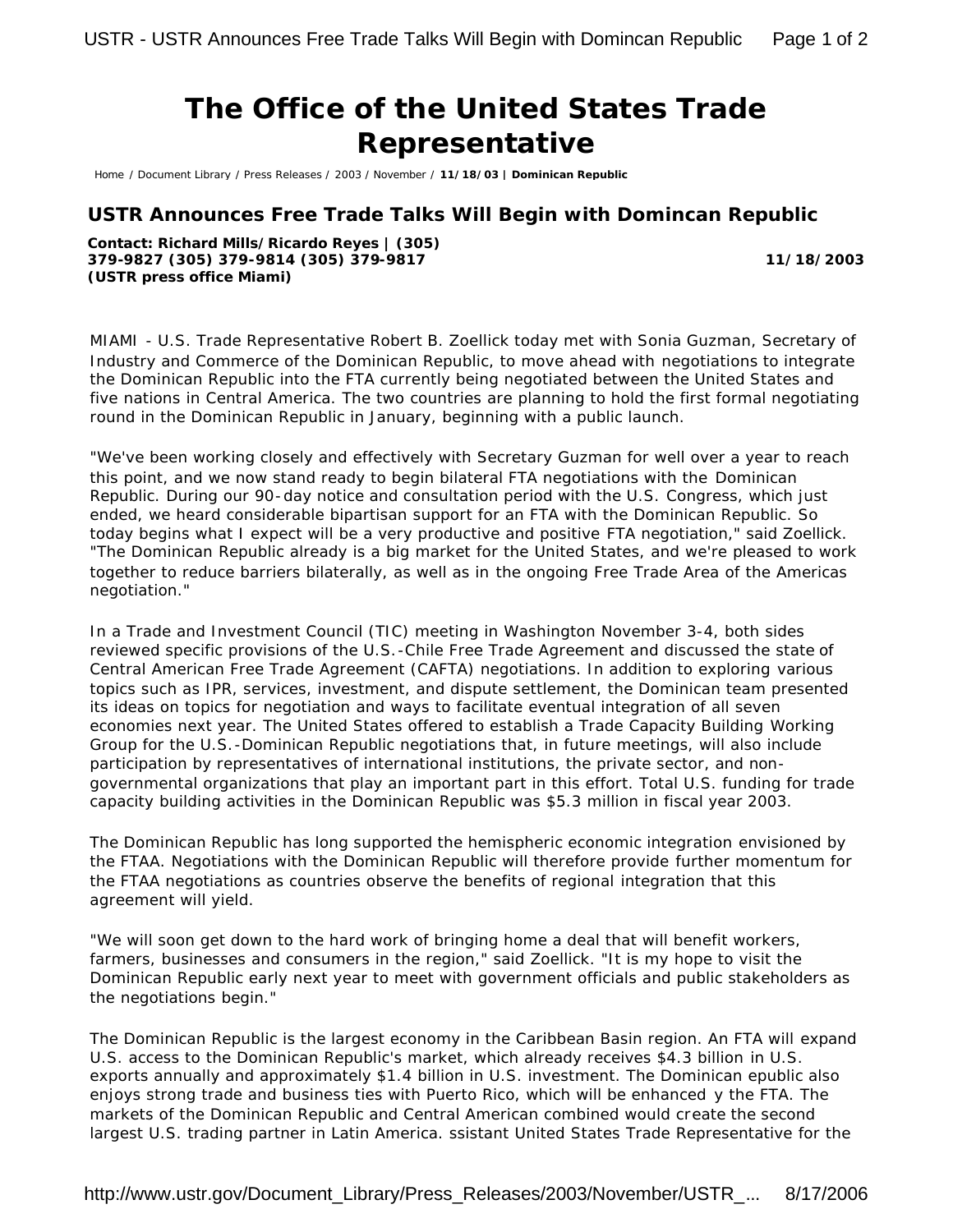## **The Office of the United States Trade Representative**

Home / Document Library / Press Releases / 2003 / November / **11/18/03 | Dominican Republic**

## **USTR Announces Free Trade Talks Will Begin with Domincan Republic**

**Contact: Richard Mills/Ricardo Reyes | (305) 379-9827 (305) 379-9814 (305) 379-9817 (USTR press office Miami)**

**11/18/2003**

MIAMI - U.S. Trade Representative Robert B. Zoellick today met with Sonia Guzman, Secretary of Industry and Commerce of the Dominican Republic, to move ahead with negotiations to integrate the Dominican Republic into the FTA currently being negotiated between the United States and five nations in Central America. The two countries are planning to hold the first formal negotiating round in the Dominican Republic in January, beginning with a public launch.

"We've been working closely and effectively with Secretary Guzman for well over a year to reach this point, and we now stand ready to begin bilateral FTA negotiations with the Dominican Republic. During our 90-day notice and consultation period with the U.S. Congress, which just ended, we heard considerable bipartisan support for an FTA with the Dominican Republic. So today begins what I expect will be a very productive and positive FTA negotiation," said Zoellick. "The Dominican Republic already is a big market for the United States, and we're pleased to work together to reduce barriers bilaterally, as well as in the ongoing Free Trade Area of the Americas negotiation."

In a Trade and Investment Council (TIC) meeting in Washington November 3-4, both sides reviewed specific provisions of the U.S.-Chile Free Trade Agreement and discussed the state of Central American Free Trade Agreement (CAFTA) negotiations. In addition to exploring various topics such as IPR, services, investment, and dispute settlement, the Dominican team presented its ideas on topics for negotiation and ways to facilitate eventual integration of all seven economies next year. The United States offered to establish a Trade Capacity Building Working Group for the U.S.-Dominican Republic negotiations that, in future meetings, will also include participation by representatives of international institutions, the private sector, and nongovernmental organizations that play an important part in this effort. Total U.S. funding for trade capacity building activities in the Dominican Republic was \$5.3 million in fiscal year 2003.

The Dominican Republic has long supported the hemispheric economic integration envisioned by the FTAA. Negotiations with the Dominican Republic will therefore provide further momentum for the FTAA negotiations as countries observe the benefits of regional integration that this agreement will yield.

"We will soon get down to the hard work of bringing home a deal that will benefit workers, farmers, businesses and consumers in the region," said Zoellick. "It is my hope to visit the Dominican Republic early next year to meet with government officials and public stakeholders as the negotiations begin."

The Dominican Republic is the largest economy in the Caribbean Basin region. An FTA will expand U.S. access to the Dominican Republic's market, which already receives \$4.3 billion in U.S. exports annually and approximately \$1.4 billion in U.S. investment. The Dominican epublic also enjoys strong trade and business ties with Puerto Rico, which will be enhanced y the FTA. The markets of the Dominican Republic and Central American combined would create the second largest U.S. trading partner in Latin America. ssistant United States Trade Representative for the